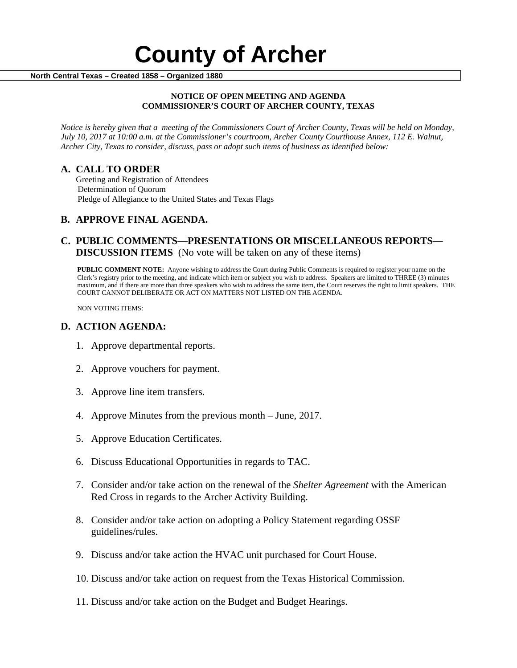# **County of Archer And County of Archer North Central Texas – Created 1858 – Organized 1880**

#### **NOTICE OF OPEN MEETING AND AGENDA COMMISSIONER'S COURT OF ARCHER COUNTY, TEXAS**

*Notice is hereby given that a meeting of the Commissioners Court of Archer County, Texas will be held on Monday, July 10, 2017 at 10:00 a.m. at the Commissioner's courtroom, Archer County Courthouse Annex, 112 E. Walnut, Archer City, Texas to consider, discuss, pass or adopt such items of business as identified below:*

**A. CALL TO ORDER** Greeting and Registration of Attendees Determination of Quorum Pledge of Allegiance to the United States and Texas Flags

## **B. APPROVE FINAL AGENDA.**

## **C. PUBLIC COMMENTS—PRESENTATIONS OR MISCELLANEOUS REPORTS— DISCUSSION ITEMS** (No vote will be taken on any of these items)

**PUBLIC COMMENT NOTE:** Anyone wishing to address the Court during Public Comments is required to register your name on the Clerk's registry prior to the meeting, and indicate which item or subject you wish to address. Speakers are limited to THREE (3) minutes maximum, and if there are more than three speakers who wish to address the same item, the Court reserves the right to limit speakers. THE COURT CANNOT DELIBERATE OR ACT ON MATTERS NOT LISTED ON THE AGENDA.

NON VOTING ITEMS:

#### **D. ACTION AGENDA:**

- 1. Approve departmental reports.
- 2. Approve vouchers for payment.
- 3. Approve line item transfers.
- 4. Approve Minutes from the previous month June, 2017.
- 5. Approve Education Certificates.
- 6. Discuss Educational Opportunities in regards to TAC.
- 7. Consider and/or take action on the renewal of the *Shelter Agreement* with the American Red Cross in regards to the Archer Activity Building.
- 8. Consider and/or take action on adopting a Policy Statement regarding OSSF guidelines/rules.
- 9. Discuss and/or take action the HVAC unit purchased for Court House.
- 10. Discuss and/or take action on request from the Texas Historical Commission.
- 11. Discuss and/or take action on the Budget and Budget Hearings.